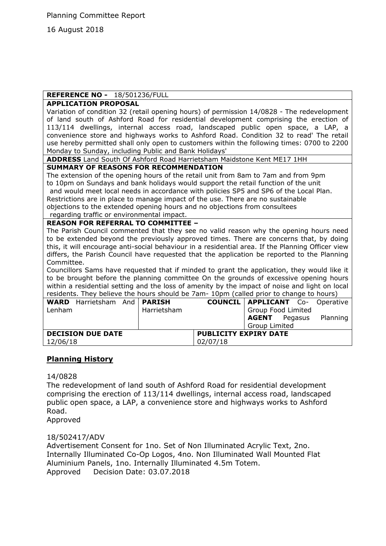16 August 2018

# **REFERENCE NO -** 18/501236/FULL

#### **APPLICATION PROPOSAL**

Variation of condition 32 (retail opening hours) of permission 14/0828 - The redevelopment of land south of Ashford Road for residential development comprising the erection of 113/114 dwellings, internal access road, landscaped public open space, a LAP, a convenience store and highways works to Ashford Road. Condition 32 to read' The retail use hereby permitted shall only open to customers within the following times: 0700 to 2200 Monday to Sunday, including Public and Bank Holidays'

**ADDRESS** Land South Of Ashford Road Harrietsham Maidstone Kent ME17 1HH

#### **SUMMARY OF REASONS FOR RECOMMENDATION**

The extension of the opening hours of the retail unit from 8am to 7am and from 9pm to 10pm on Sundays and bank holidays would support the retail function of the unit and would meet local needs in accordance with policies SP5 and SP6 of the Local Plan. Restrictions are in place to manage impact of the use. There are no sustainable objections to the extended opening hours and no objections from consultees

#### regarding traffic or environmental impact. **REASON FOR REFERRAL TO COMMITTEE –**

The Parish Council commented that they see no valid reason why the opening hours need to be extended beyond the previously approved times. There are concerns that, by doing this, it will encourage anti-social behaviour in a residential area. If the Planning Officer view differs, the Parish Council have requested that the application be reported to the Planning Committee.

Councillors Sams have requested that if minded to grant the application, they would like it to be brought before the planning committee On the grounds of excessive opening hours within a residential setting and the loss of amenity by the impact of noise and light on local residents. They believe the hours should be 7am- 10pm (called prior to change to hours)

|                          |  | Harrietsham |                                           | Group Food Limited   |  |  |                                                                    |
|--------------------------|--|-------------|-------------------------------------------|----------------------|--|--|--------------------------------------------------------------------|
|                          |  |             |                                           |                      |  |  | Planning                                                           |
|                          |  |             |                                           | <b>Group Limited</b> |  |  |                                                                    |
| <b>DECISION DUE DATE</b> |  |             | <b>PUBLICITY EXPIRY DATE</b>              |                      |  |  |                                                                    |
|                          |  |             | 02/07/18                                  |                      |  |  |                                                                    |
|                          |  |             | <b>WARD</b> Harrietsham And <b>PARISH</b> |                      |  |  | <b>COUNCIL   APPLICANT</b> Co- Operative  <br><b>AGENT</b> Pegasus |

# **Planning History**

#### 14/0828

The redevelopment of land south of Ashford Road for residential development comprising the erection of 113/114 dwellings, internal access road, landscaped public open space, a LAP, a convenience store and highways works to Ashford Road.

Approved

18/502417/ADV

Advertisement Consent for 1no. Set of Non Illuminated Acrylic Text, 2no. Internally Illuminated Co-Op Logos, 4no. Non Illuminated Wall Mounted Flat Aluminium Panels, 1no. Internally Illuminated 4.5m Totem. Approved Decision Date: 03.07.2018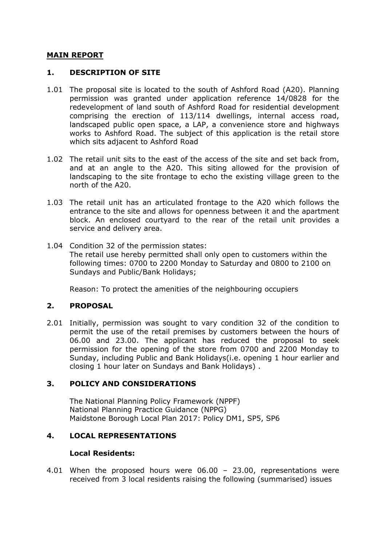#### **MAIN REPORT**

#### **1. DESCRIPTION OF SITE**

- 1.01 The proposal site is located to the south of Ashford Road (A20). Planning permission was granted under application reference 14/0828 for the redevelopment of land south of Ashford Road for residential development comprising the erection of 113/114 dwellings, internal access road, landscaped public open space, a LAP, a convenience store and highways works to Ashford Road. The subject of this application is the retail store which sits adjacent to Ashford Road
- 1.02 The retail unit sits to the east of the access of the site and set back from, and at an angle to the A20. This siting allowed for the provision of landscaping to the site frontage to echo the existing village green to the north of the A20.
- 1.03 The retail unit has an articulated frontage to the A20 which follows the entrance to the site and allows for openness between it and the apartment block. An enclosed courtyard to the rear of the retail unit provides a service and delivery area.
- 1.04 Condition 32 of the permission states: The retail use hereby permitted shall only open to customers within the following times: 0700 to 2200 Monday to Saturday and 0800 to 2100 on Sundays and Public/Bank Holidays;

Reason: To protect the amenities of the neighbouring occupiers

# **2. PROPOSAL**

2.01 Initially, permission was sought to vary condition 32 of the condition to permit the use of the retail premises by customers between the hours of 06.00 and 23.00. The applicant has reduced the proposal to seek permission for the opening of the store from 0700 and 2200 Monday to Sunday, including Public and Bank Holidays(i.e. opening 1 hour earlier and closing 1 hour later on Sundays and Bank Holidays) .

# **3. POLICY AND CONSIDERATIONS**

The National Planning Policy Framework (NPPF) National Planning Practice Guidance (NPPG) Maidstone Borough Local Plan 2017: Policy DM1, SP5, SP6

# **4. LOCAL REPRESENTATIONS**

#### **Local Residents:**

4.01 When the proposed hours were 06.00 – 23.00, representations were received from 3 local residents raising the following (summarised) issues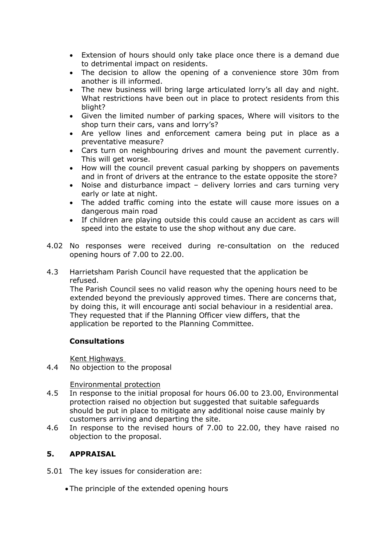- Extension of hours should only take place once there is a demand due to detrimental impact on residents.
- The decision to allow the opening of a convenience store 30m from another is ill informed.
- The new business will bring large articulated lorry's all day and night. What restrictions have been out in place to protect residents from this blight?
- Given the limited number of parking spaces, Where will visitors to the shop turn their cars, vans and lorry's?
- Are yellow lines and enforcement camera being put in place as a preventative measure?
- Cars turn on neighbouring drives and mount the pavement currently. This will get worse.
- How will the council prevent casual parking by shoppers on pavements and in front of drivers at the entrance to the estate opposite the store?
- Noise and disturbance impact delivery lorries and cars turning very early or late at night.
- The added traffic coming into the estate will cause more issues on a dangerous main road
- If children are playing outside this could cause an accident as cars will speed into the estate to use the shop without any due care.
- 4.02 No responses were received during re-consultation on the reduced opening hours of 7.00 to 22.00.
- 4.3 Harrietsham Parish Council have requested that the application be refused.

The Parish Council sees no valid reason why the opening hours need to be extended beyond the previously approved times. There are concerns that, by doing this, it will encourage anti social behaviour in a residential area. They requested that if the Planning Officer view differs, that the application be reported to the Planning Committee.

# **Consultations**

Kent Highways

4.4 No objection to the proposal

Environmental protection

- 4.5 In response to the initial proposal for hours 06.00 to 23.00, Environmental protection raised no objection but suggested that suitable safeguards should be put in place to mitigate any additional noise cause mainly by customers arriving and departing the site.
- 4.6 In response to the revised hours of 7.00 to 22.00, they have raised no objection to the proposal.

# **5. APPRAISAL**

- 5.01 The key issues for consideration are:
	- The principle of the extended opening hours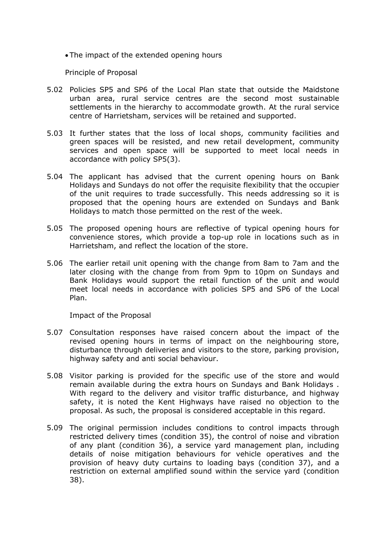The impact of the extended opening hours

Principle of Proposal

- 5.02 Policies SP5 and SP6 of the Local Plan state that outside the Maidstone urban area, rural service centres are the second most sustainable settlements in the hierarchy to accommodate growth. At the rural service centre of Harrietsham, services will be retained and supported.
- 5.03 It further states that the loss of local shops, community facilities and green spaces will be resisted, and new retail development, community services and open space will be supported to meet local needs in accordance with policy SP5(3).
- 5.04 The applicant has advised that the current opening hours on Bank Holidays and Sundays do not offer the requisite flexibility that the occupier of the unit requires to trade successfully. This needs addressing so it is proposed that the opening hours are extended on Sundays and Bank Holidays to match those permitted on the rest of the week.
- 5.05 The proposed opening hours are reflective of typical opening hours for convenience stores, which provide a top-up role in locations such as in Harrietsham, and reflect the location of the store.
- 5.06 The earlier retail unit opening with the change from 8am to 7am and the later closing with the change from from 9pm to 10pm on Sundays and Bank Holidays would support the retail function of the unit and would meet local needs in accordance with policies SP5 and SP6 of the Local Plan.

Impact of the Proposal

- 5.07 Consultation responses have raised concern about the impact of the revised opening hours in terms of impact on the neighbouring store, disturbance through deliveries and visitors to the store, parking provision, highway safety and anti social behaviour.
- 5.08 Visitor parking is provided for the specific use of the store and would remain available during the extra hours on Sundays and Bank Holidays . With regard to the delivery and visitor traffic disturbance, and highway safety, it is noted the Kent Highways have raised no objection to the proposal. As such, the proposal is considered acceptable in this regard.
- 5.09 The original permission includes conditions to control impacts through restricted delivery times (condition 35), the control of noise and vibration of any plant (condition 36), a service yard management plan, including details of noise mitigation behaviours for vehicle operatives and the provision of heavy duty curtains to loading bays (condition 37), and a restriction on external amplified sound within the service yard (condition 38).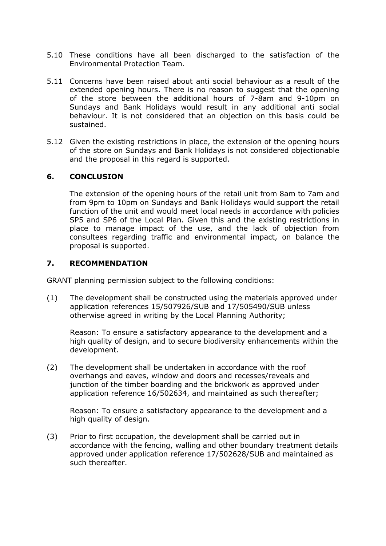- 5.10 These conditions have all been discharged to the satisfaction of the Environmental Protection Team.
- 5.11 Concerns have been raised about anti social behaviour as a result of the extended opening hours. There is no reason to suggest that the opening of the store between the additional hours of 7-8am and 9-10pm on Sundays and Bank Holidays would result in any additional anti social behaviour. It is not considered that an objection on this basis could be sustained.
- 5.12 Given the existing restrictions in place, the extension of the opening hours of the store on Sundays and Bank Holidays is not considered objectionable and the proposal in this regard is supported.

# **6. CONCLUSION**

The extension of the opening hours of the retail unit from 8am to 7am and from 9pm to 10pm on Sundays and Bank Holidays would support the retail function of the unit and would meet local needs in accordance with policies SP5 and SP6 of the Local Plan. Given this and the existing restrictions in place to manage impact of the use, and the lack of objection from consultees regarding traffic and environmental impact, on balance the proposal is supported.

#### **7. RECOMMENDATION**

GRANT planning permission subject to the following conditions:

(1) The development shall be constructed using the materials approved under application references 15/507926/SUB and 17/505490/SUB unless otherwise agreed in writing by the Local Planning Authority;

Reason: To ensure a satisfactory appearance to the development and a high quality of design, and to secure biodiversity enhancements within the development.

(2) The development shall be undertaken in accordance with the roof overhangs and eaves, window and doors and recesses/reveals and junction of the timber boarding and the brickwork as approved under application reference 16/502634, and maintained as such thereafter;

Reason: To ensure a satisfactory appearance to the development and a high quality of design.

(3) Prior to first occupation, the development shall be carried out in accordance with the fencing, walling and other boundary treatment details approved under application reference 17/502628/SUB and maintained as such thereafter.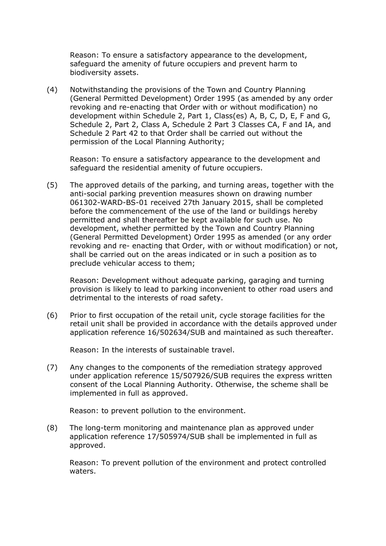Reason: To ensure a satisfactory appearance to the development, safeguard the amenity of future occupiers and prevent harm to biodiversity assets.

(4) Notwithstanding the provisions of the Town and Country Planning (General Permitted Development) Order 1995 (as amended by any order revoking and re-enacting that Order with or without modification) no development within Schedule 2, Part 1, Class(es) A, B, C, D, E, F and G, Schedule 2, Part 2, Class A, Schedule 2 Part 3 Classes CA, F and IA, and Schedule 2 Part 42 to that Order shall be carried out without the permission of the Local Planning Authority;

Reason: To ensure a satisfactory appearance to the development and safeguard the residential amenity of future occupiers.

(5) The approved details of the parking, and turning areas, together with the anti-social parking prevention measures shown on drawing number 061302-WARD-BS-01 received 27th January 2015, shall be completed before the commencement of the use of the land or buildings hereby permitted and shall thereafter be kept available for such use. No development, whether permitted by the Town and Country Planning (General Permitted Development) Order 1995 as amended (or any order revoking and re- enacting that Order, with or without modification) or not, shall be carried out on the areas indicated or in such a position as to preclude vehicular access to them;

Reason: Development without adequate parking, garaging and turning provision is likely to lead to parking inconvenient to other road users and detrimental to the interests of road safety.

(6) Prior to first occupation of the retail unit, cycle storage facilities for the retail unit shall be provided in accordance with the details approved under application reference 16/502634/SUB and maintained as such thereafter.

Reason: In the interests of sustainable travel.

(7) Any changes to the components of the remediation strategy approved under application reference 15/507926/SUB requires the express written consent of the Local Planning Authority. Otherwise, the scheme shall be implemented in full as approved.

Reason: to prevent pollution to the environment.

(8) The long-term monitoring and maintenance plan as approved under application reference 17/505974/SUB shall be implemented in full as approved.

Reason: To prevent pollution of the environment and protect controlled waters.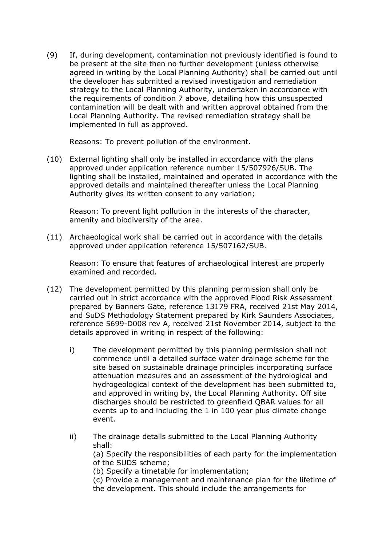(9) If, during development, contamination not previously identified is found to be present at the site then no further development (unless otherwise agreed in writing by the Local Planning Authority) shall be carried out until the developer has submitted a revised investigation and remediation strategy to the Local Planning Authority, undertaken in accordance with the requirements of condition 7 above, detailing how this unsuspected contamination will be dealt with and written approval obtained from the Local Planning Authority. The revised remediation strategy shall be implemented in full as approved.

Reasons: To prevent pollution of the environment.

(10) External lighting shall only be installed in accordance with the plans approved under application reference number 15/507926/SUB. The lighting shall be installed, maintained and operated in accordance with the approved details and maintained thereafter unless the Local Planning Authority gives its written consent to any variation;

Reason: To prevent light pollution in the interests of the character, amenity and biodiversity of the area.

(11) Archaeological work shall be carried out in accordance with the details approved under application reference 15/507162/SUB.

Reason: To ensure that features of archaeological interest are properly examined and recorded.

- (12) The development permitted by this planning permission shall only be carried out in strict accordance with the approved Flood Risk Assessment prepared by Banners Gate, reference 13179 FRA, received 21st May 2014, and SuDS Methodology Statement prepared by Kirk Saunders Associates, reference 5699-D008 rev A, received 21st November 2014, subject to the details approved in writing in respect of the following:
	- i) The development permitted by this planning permission shall not commence until a detailed surface water drainage scheme for the site based on sustainable drainage principles incorporating surface attenuation measures and an assessment of the hydrological and hydrogeological context of the development has been submitted to, and approved in writing by, the Local Planning Authority. Off site discharges should be restricted to greenfield QBAR values for all events up to and including the 1 in 100 year plus climate change event.
	- ii) The drainage details submitted to the Local Planning Authority shall: (a) Specify the responsibilities of each party for the implementation of the SUDS scheme; (b) Specify a timetable for implementation; (c) Provide a management and maintenance plan for the lifetime of the development. This should include the arrangements for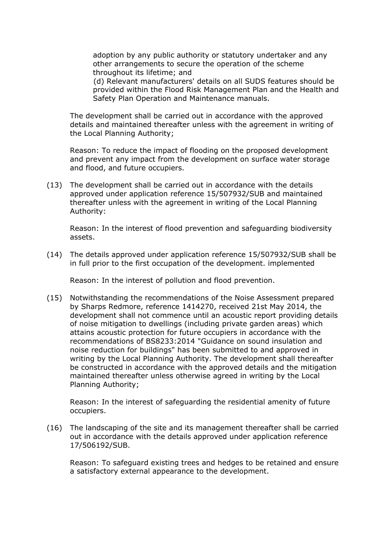adoption by any public authority or statutory undertaker and any other arrangements to secure the operation of the scheme throughout its lifetime; and

(d) Relevant manufacturers' details on all SUDS features should be provided within the Flood Risk Management Plan and the Health and Safety Plan Operation and Maintenance manuals.

The development shall be carried out in accordance with the approved details and maintained thereafter unless with the agreement in writing of the Local Planning Authority;

Reason: To reduce the impact of flooding on the proposed development and prevent any impact from the development on surface water storage and flood, and future occupiers.

(13) The development shall be carried out in accordance with the details approved under application reference 15/507932/SUB and maintained thereafter unless with the agreement in writing of the Local Planning Authority:

Reason: In the interest of flood prevention and safeguarding biodiversity assets.

(14) The details approved under application reference 15/507932/SUB shall be in full prior to the first occupation of the development. implemented

Reason: In the interest of pollution and flood prevention.

(15) Notwithstanding the recommendations of the Noise Assessment prepared by Sharps Redmore, reference 1414270, received 21st May 2014, the development shall not commence until an acoustic report providing details of noise mitigation to dwellings (including private garden areas) which attains acoustic protection for future occupiers in accordance with the recommendations of BS8233:2014 "Guidance on sound insulation and noise reduction for buildings" has been submitted to and approved in writing by the Local Planning Authority. The development shall thereafter be constructed in accordance with the approved details and the mitigation maintained thereafter unless otherwise agreed in writing by the Local Planning Authority;

Reason: In the interest of safeguarding the residential amenity of future occupiers.

(16) The landscaping of the site and its management thereafter shall be carried out in accordance with the details approved under application reference 17/506192/SUB.

Reason: To safeguard existing trees and hedges to be retained and ensure a satisfactory external appearance to the development.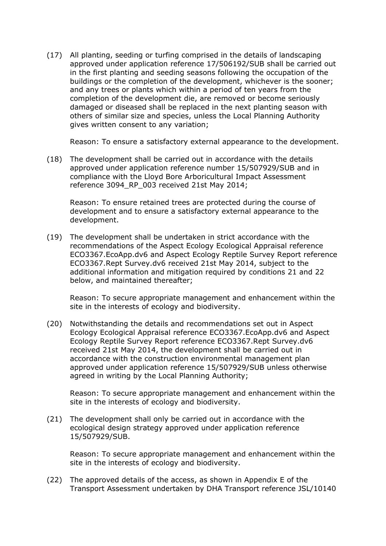(17) All planting, seeding or turfing comprised in the details of landscaping approved under application reference 17/506192/SUB shall be carried out in the first planting and seeding seasons following the occupation of the buildings or the completion of the development, whichever is the sooner; and any trees or plants which within a period of ten years from the completion of the development die, are removed or become seriously damaged or diseased shall be replaced in the next planting season with others of similar size and species, unless the Local Planning Authority gives written consent to any variation;

Reason: To ensure a satisfactory external appearance to the development.

(18) The development shall be carried out in accordance with the details approved under application reference number 15/507929/SUB and in compliance with the Lloyd Bore Arboricultural Impact Assessment reference 3094 RP 003 received 21st May 2014;

Reason: To ensure retained trees are protected during the course of development and to ensure a satisfactory external appearance to the development.

(19) The development shall be undertaken in strict accordance with the recommendations of the Aspect Ecology Ecological Appraisal reference ECO3367.EcoApp.dv6 and Aspect Ecology Reptile Survey Report reference ECO3367.Rept Survey.dv6 received 21st May 2014, subject to the additional information and mitigation required by conditions 21 and 22 below, and maintained thereafter;

Reason: To secure appropriate management and enhancement within the site in the interests of ecology and biodiversity.

(20) Notwithstanding the details and recommendations set out in Aspect Ecology Ecological Appraisal reference ECO3367.EcoApp.dv6 and Aspect Ecology Reptile Survey Report reference ECO3367.Rept Survey.dv6 received 21st May 2014, the development shall be carried out in accordance with the construction environmental management plan approved under application reference 15/507929/SUB unless otherwise agreed in writing by the Local Planning Authority;

Reason: To secure appropriate management and enhancement within the site in the interests of ecology and biodiversity.

(21) The development shall only be carried out in accordance with the ecological design strategy approved under application reference 15/507929/SUB.

Reason: To secure appropriate management and enhancement within the site in the interests of ecology and biodiversity.

(22) The approved details of the access, as shown in Appendix E of the Transport Assessment undertaken by DHA Transport reference JSL/10140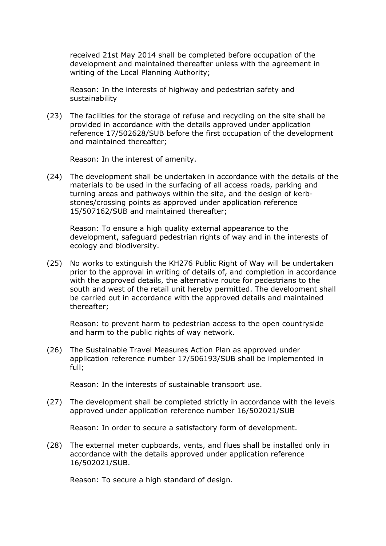received 21st May 2014 shall be completed before occupation of the development and maintained thereafter unless with the agreement in writing of the Local Planning Authority;

Reason: In the interests of highway and pedestrian safety and sustainability

(23) The facilities for the storage of refuse and recycling on the site shall be provided in accordance with the details approved under application reference 17/502628/SUB before the first occupation of the development and maintained thereafter;

Reason: In the interest of amenity.

(24) The development shall be undertaken in accordance with the details of the materials to be used in the surfacing of all access roads, parking and turning areas and pathways within the site, and the design of kerbstones/crossing points as approved under application reference 15/507162/SUB and maintained thereafter;

Reason: To ensure a high quality external appearance to the development, safeguard pedestrian rights of way and in the interests of ecology and biodiversity.

(25) No works to extinguish the KH276 Public Right of Way will be undertaken prior to the approval in writing of details of, and completion in accordance with the approved details, the alternative route for pedestrians to the south and west of the retail unit hereby permitted. The development shall be carried out in accordance with the approved details and maintained thereafter;

Reason: to prevent harm to pedestrian access to the open countryside and harm to the public rights of way network.

(26) The Sustainable Travel Measures Action Plan as approved under application reference number 17/506193/SUB shall be implemented in full;

Reason: In the interests of sustainable transport use.

(27) The development shall be completed strictly in accordance with the levels approved under application reference number 16/502021/SUB

Reason: In order to secure a satisfactory form of development.

(28) The external meter cupboards, vents, and flues shall be installed only in accordance with the details approved under application reference 16/502021/SUB.

Reason: To secure a high standard of design.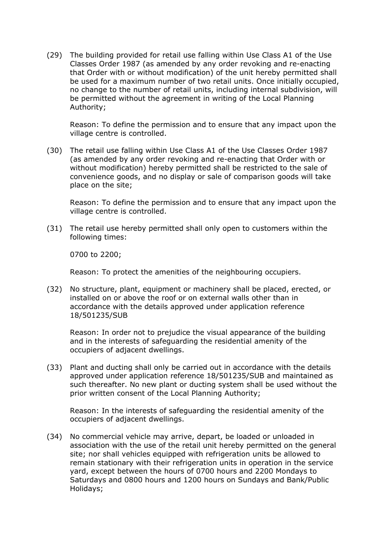(29) The building provided for retail use falling within Use Class A1 of the Use Classes Order 1987 (as amended by any order revoking and re-enacting that Order with or without modification) of the unit hereby permitted shall be used for a maximum number of two retail units. Once initially occupied, no change to the number of retail units, including internal subdivision, will be permitted without the agreement in writing of the Local Planning Authority;

Reason: To define the permission and to ensure that any impact upon the village centre is controlled.

(30) The retail use falling within Use Class A1 of the Use Classes Order 1987 (as amended by any order revoking and re-enacting that Order with or without modification) hereby permitted shall be restricted to the sale of convenience goods, and no display or sale of comparison goods will take place on the site;

Reason: To define the permission and to ensure that any impact upon the village centre is controlled.

(31) The retail use hereby permitted shall only open to customers within the following times:

0700 to 2200;

Reason: To protect the amenities of the neighbouring occupiers.

(32) No structure, plant, equipment or machinery shall be placed, erected, or installed on or above the roof or on external walls other than in accordance with the details approved under application reference 18/501235/SUB

Reason: In order not to prejudice the visual appearance of the building and in the interests of safeguarding the residential amenity of the occupiers of adjacent dwellings.

(33) Plant and ducting shall only be carried out in accordance with the details approved under application reference 18/501235/SUB and maintained as such thereafter. No new plant or ducting system shall be used without the prior written consent of the Local Planning Authority;

Reason: In the interests of safeguarding the residential amenity of the occupiers of adjacent dwellings.

(34) No commercial vehicle may arrive, depart, be loaded or unloaded in association with the use of the retail unit hereby permitted on the general site; nor shall vehicles equipped with refrigeration units be allowed to remain stationary with their refrigeration units in operation in the service yard, except between the hours of 0700 hours and 2200 Mondays to Saturdays and 0800 hours and 1200 hours on Sundays and Bank/Public Holidays;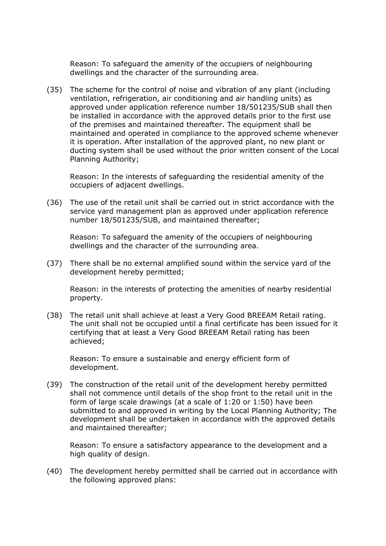Reason: To safeguard the amenity of the occupiers of neighbouring dwellings and the character of the surrounding area.

(35) The scheme for the control of noise and vibration of any plant (including ventilation, refrigeration, air conditioning and air handling units) as approved under application reference number 18/501235/SUB shall then be installed in accordance with the approved details prior to the first use of the premises and maintained thereafter. The equipment shall be maintained and operated in compliance to the approved scheme whenever it is operation. After installation of the approved plant, no new plant or ducting system shall be used without the prior written consent of the Local Planning Authority;

Reason: In the interests of safeguarding the residential amenity of the occupiers of adjacent dwellings.

(36) The use of the retail unit shall be carried out in strict accordance with the service yard management plan as approved under application reference number 18/501235/SUB, and maintained thereafter;

Reason: To safeguard the amenity of the occupiers of neighbouring dwellings and the character of the surrounding area.

(37) There shall be no external amplified sound within the service yard of the development hereby permitted;

Reason: in the interests of protecting the amenities of nearby residential property.

(38) The retail unit shall achieve at least a Very Good BREEAM Retail rating. The unit shall not be occupied until a final certificate has been issued for it certifying that at least a Very Good BREEAM Retail rating has been achieved;

Reason: To ensure a sustainable and energy efficient form of development.

(39) The construction of the retail unit of the development hereby permitted shall not commence until details of the shop front to the retail unit in the form of large scale drawings (at a scale of 1:20 or 1:50) have been submitted to and approved in writing by the Local Planning Authority; The development shall be undertaken in accordance with the approved details and maintained thereafter;

Reason: To ensure a satisfactory appearance to the development and a high quality of design.

(40) The development hereby permitted shall be carried out in accordance with the following approved plans: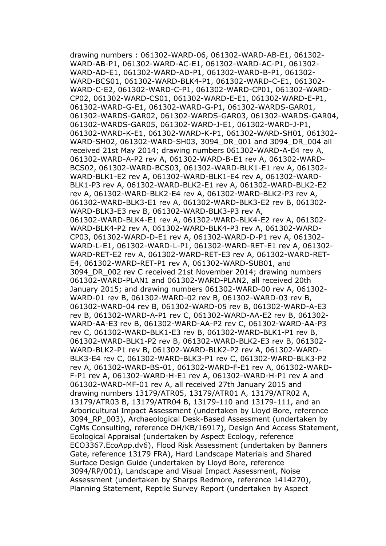drawing numbers : 061302-WARD-06, 061302-WARD-AB-E1, 061302- WARD-AB-P1, 061302-WARD-AC-E1, 061302-WARD-AC-P1, 061302- WARD-AD-E1, 061302-WARD-AD-P1, 061302-WARD-B-P1, 061302- WARD-BCS01, 061302-WARD-BLK4-P1, 061302-WARD-C-E1, 061302- WARD-C-E2, 061302-WARD-C-P1, 061302-WARD-CP01, 061302-WARD-CP02, 061302-WARD-CS01, 061302-WARD-E-E1, 061302-WARD-E-P1, 061302-WARD-G-E1, 061302-WARD-G-P1, 061302-WARDS-GAR01, 061302-WARDS-GAR02, 061302-WARDS-GAR03, 061302-WARDS-GAR04, 061302-WARDS-GAR05, 061302-WARD-J-E1, 061302-WARD-J-P1, 061302-WARD-K-E1, 061302-WARD-K-P1, 061302-WARD-SH01, 061302- WARD-SH02, 061302-WARD-SH03, 3094\_DR\_001 and 3094\_DR\_004 all received 21st May 2014; drawing numbers 061302-WARD-A-E4 rev A, 061302-WARD-A-P2 rev A, 061302-WARD-B-E1 rev A, 061302-WARD-BCS02, 061302-WARD-BCS03, 061302-WARD-BLK1-E1 rev A, 061302- WARD-BLK1-E2 rev A, 061302-WARD-BLK1-E4 rev A, 061302-WARD-BLK1-P3 rev A, 061302-WARD-BLK2-E1 rev A, 061302-WARD-BLK2-E2 rev A, 061302-WARD-BLK2-E4 rev A, 061302-WARD-BLK2-P3 rev A, 061302-WARD-BLK3-E1 rev A, 061302-WARD-BLK3-E2 rev B, 061302- WARD-BLK3-E3 rev B, 061302-WARD-BLK3-P3 rev A, 061302-WARD-BLK4-E1 rev A, 061302-WARD-BLK4-E2 rev A, 061302- WARD-BLK4-P2 rev A, 061302-WARD-BLK4-P3 rev A, 061302-WARD-CP03, 061302-WARD-D-E1 rev A, 061302-WARD-D-P1 rev A, 061302- WARD-L-E1, 061302-WARD-L-P1, 061302-WARD-RET-E1 rev A, 061302- WARD-RET-E2 rev A, 061302-WARD-RET-E3 rev A, 061302-WARD-RET-E4, 061302-WARD-RET-P1 rev A, 061302-WARD-SUB01, and 3094\_DR\_002 rev C received 21st November 2014; drawing numbers 061302-WARD-PLAN1 and 061302-WARD-PLAN2, all received 20th January 2015; and drawing numbers 061302-WARD-00 rev A, 061302- WARD-01 rev B, 061302-WARD-02 rev B, 061302-WARD-03 rev B, 061302-WARD-04 rev B, 061302-WARD-05 rev B, 061302-WARD-A-E3 rev B, 061302-WARD-A-P1 rev C, 061302-WARD-AA-E2 rev B, 061302- WARD-AA-E3 rev B, 061302-WARD-AA-P2 rev C, 061302-WARD-AA-P3 rev C, 061302-WARD-BLK1-E3 rev B, 061302-WARD-BLK1-P1 rev B, 061302-WARD-BLK1-P2 rev B, 061302-WARD-BLK2-E3 rev B, 061302- WARD-BLK2-P1 rev B, 061302-WARD-BLK2-P2 rev A, 061302-WARD-BLK3-E4 rev C, 061302-WARD-BLK3-P1 rev C, 061302-WARD-BLK3-P2 rev A, 061302-WARD-BS-01, 061302-WARD-F-E1 rev A, 061302-WARD-F-P1 rev A, 061302-WARD-H-E1 rev A, 061302-WARD-H-P1 rev A and 061302-WARD-MF-01 rev A, all received 27th January 2015 and drawing numbers 13179/ATR05, 13179/ATR01 A, 13179/ATR02 A, 13179/ATR03 B, 13179/ATR04 B, 13179-110 and 13179-111, and an Arboricultural Impact Assessment (undertaken by Lloyd Bore, reference 3094\_RP\_003), Archaeological Desk-Based Assessment (undertaken by CgMs Consulting, reference DH/KB/16917), Design And Access Statement, Ecological Appraisal (undertaken by Aspect Ecology, reference ECO3367.EcoApp.dv6), Flood Risk Assessment (undertaken by Banners Gate, reference 13179 FRA), Hard Landscape Materials and Shared Surface Design Guide (undertaken by Lloyd Bore, reference 3094/RP/001), Landscape and Visual Impact Assessment, Noise Assessment (undertaken by Sharps Redmore, reference 1414270), Planning Statement, Reptile Survey Report (undertaken by Aspect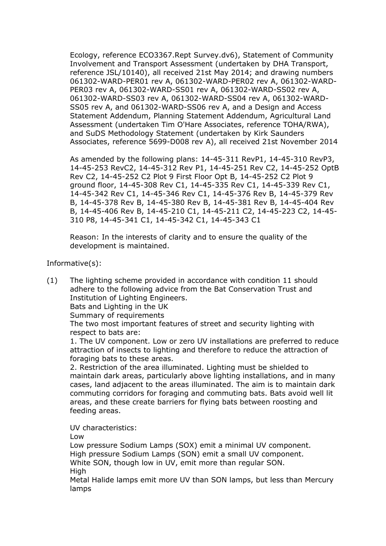Ecology, reference ECO3367.Rept Survey.dv6), Statement of Community Involvement and Transport Assessment (undertaken by DHA Transport, reference JSL/10140), all received 21st May 2014; and drawing numbers 061302-WARD-PER01 rev A, 061302-WARD-PER02 rev A, 061302-WARD-PER03 rev A, 061302-WARD-SS01 rev A, 061302-WARD-SS02 rev A, 061302-WARD-SS03 rev A, 061302-WARD-SS04 rev A, 061302-WARD-SS05 rev A, and 061302-WARD-SS06 rev A, and a Design and Access Statement Addendum, Planning Statement Addendum, Agricultural Land Assessment (undertaken Tim O'Hare Associates, reference TOHA/RWA), and SuDS Methodology Statement (undertaken by Kirk Saunders Associates, reference 5699-D008 rev A), all received 21st November 2014

As amended by the following plans: 14-45-311 RevP1, 14-45-310 RevP3, 14-45-253 RevC2, 14-45-312 Rev P1, 14-45-251 Rev C2, 14-45-252 OptB Rev C2, 14-45-252 C2 Plot 9 First Floor Opt B, 14-45-252 C2 Plot 9 ground floor, 14-45-308 Rev C1, 14-45-335 Rev C1, 14-45-339 Rev C1, 14-45-342 Rev C1, 14-45-346 Rev C1, 14-45-376 Rev B, 14-45-379 Rev B, 14-45-378 Rev B, 14-45-380 Rev B, 14-45-381 Rev B, 14-45-404 Rev B, 14-45-406 Rev B, 14-45-210 C1, 14-45-211 C2, 14-45-223 C2, 14-45- 310 P8, 14-45-341 C1, 14-45-342 C1, 14-45-343 C1

Reason: In the interests of clarity and to ensure the quality of the development is maintained.

Informative(s):

(1) The lighting scheme provided in accordance with condition 11 should adhere to the following advice from the Bat Conservation Trust and Institution of Lighting Engineers.

Bats and Lighting in the UK

Summary of requirements

The two most important features of street and security lighting with respect to bats are:

1. The UV component. Low or zero UV installations are preferred to reduce attraction of insects to lighting and therefore to reduce the attraction of foraging bats to these areas.

2. Restriction of the area illuminated. Lighting must be shielded to maintain dark areas, particularly above lighting installations, and in many cases, land adjacent to the areas illuminated. The aim is to maintain dark commuting corridors for foraging and commuting bats. Bats avoid well lit areas, and these create barriers for flying bats between roosting and feeding areas.

UV characteristics:

Low

lamps

Low pressure Sodium Lamps (SOX) emit a minimal UV component. High pressure Sodium Lamps (SON) emit a small UV component. White SON, though low in UV, emit more than regular SON. High Metal Halide lamps emit more UV than SON lamps, but less than Mercury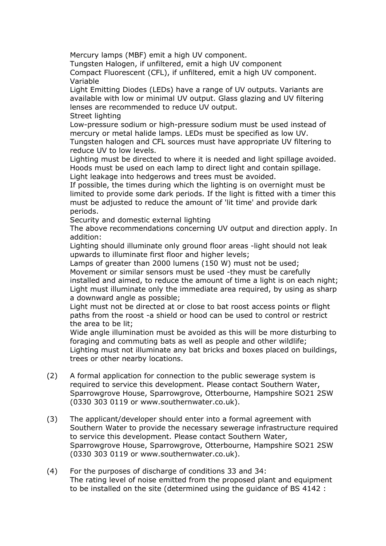Mercury lamps (MBF) emit a high UV component.

Tungsten Halogen, if unfiltered, emit a high UV component

Compact Fluorescent (CFL), if unfiltered, emit a high UV component. Variable

Light Emitting Diodes (LEDs) have a range of UV outputs. Variants are available with low or minimal UV output. Glass glazing and UV filtering lenses are recommended to reduce UV output.

Street lighting

Low-pressure sodium or high-pressure sodium must be used instead of mercury or metal halide lamps. LEDs must be specified as low UV.

Tungsten halogen and CFL sources must have appropriate UV filtering to reduce UV to low levels.

Lighting must be directed to where it is needed and light spillage avoided. Hoods must be used on each lamp to direct light and contain spillage. Light leakage into hedgerows and trees must be avoided.

If possible, the times during which the lighting is on overnight must be limited to provide some dark periods. If the light is fitted with a timer this must be adjusted to reduce the amount of 'lit time' and provide dark periods.

Security and domestic external lighting

The above recommendations concerning UV output and direction apply. In addition:

Lighting should illuminate only ground floor areas -light should not leak upwards to illuminate first floor and higher levels;

Lamps of greater than 2000 lumens (150 W) must not be used;

Movement or similar sensors must be used -they must be carefully installed and aimed, to reduce the amount of time a light is on each night; Light must illuminate only the immediate area required, by using as sharp a downward angle as possible;

Light must not be directed at or close to bat roost access points or flight paths from the roost -a shield or hood can be used to control or restrict the area to be lit;

Wide angle illumination must be avoided as this will be more disturbing to foraging and commuting bats as well as people and other wildlife; Lighting must not illuminate any bat bricks and boxes placed on buildings, trees or other nearby locations.

- (2) A formal application for connection to the public sewerage system is required to service this development. Please contact Southern Water, Sparrowgrove House, Sparrowgrove, Otterbourne, Hampshire SO21 2SW (0330 303 0119 or www.southernwater.co.uk).
- (3) The applicant/developer should enter into a formal agreement with Southern Water to provide the necessary sewerage infrastructure required to service this development. Please contact Southern Water, Sparrowgrove House, Sparrowgrove, Otterbourne, Hampshire SO21 2SW (0330 303 0119 or www.southernwater.co.uk).
- (4) For the purposes of discharge of conditions 33 and 34: The rating level of noise emitted from the proposed plant and equipment to be installed on the site (determined using the guidance of BS 4142 :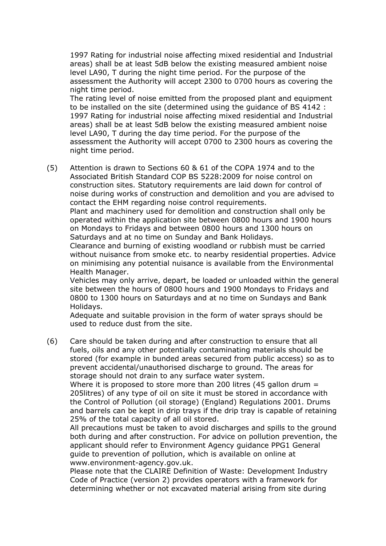1997 Rating for industrial noise affecting mixed residential and Industrial areas) shall be at least 5dB below the existing measured ambient noise level LA90, T during the night time period. For the purpose of the assessment the Authority will accept 2300 to 0700 hours as covering the night time period.

The rating level of noise emitted from the proposed plant and equipment to be installed on the site (determined using the guidance of BS 4142 : 1997 Rating for industrial noise affecting mixed residential and Industrial areas) shall be at least 5dB below the existing measured ambient noise level LA90, T during the day time period. For the purpose of the assessment the Authority will accept 0700 to 2300 hours as covering the night time period.

(5) Attention is drawn to Sections 60 & 61 of the COPA 1974 and to the Associated British Standard COP BS 5228:2009 for noise control on construction sites. Statutory requirements are laid down for control of noise during works of construction and demolition and you are advised to contact the EHM regarding noise control requirements.

Plant and machinery used for demolition and construction shall only be operated within the application site between 0800 hours and 1900 hours on Mondays to Fridays and between 0800 hours and 1300 hours on Saturdays and at no time on Sunday and Bank Holidays.

Clearance and burning of existing woodland or rubbish must be carried without nuisance from smoke etc. to nearby residential properties. Advice on minimising any potential nuisance is available from the Environmental Health Manager.

Vehicles may only arrive, depart, be loaded or unloaded within the general site between the hours of 0800 hours and 1900 Mondays to Fridays and 0800 to 1300 hours on Saturdays and at no time on Sundays and Bank Holidays.

Adequate and suitable provision in the form of water sprays should be used to reduce dust from the site.

(6) Care should be taken during and after construction to ensure that all fuels, oils and any other potentially contaminating materials should be stored (for example in bunded areas secured from public access) so as to prevent accidental/unauthorised discharge to ground. The areas for storage should not drain to any surface water system.

Where it is proposed to store more than 200 litres (45 gallon drum = 205litres) of any type of oil on site it must be stored in accordance with the Control of Pollution (oil storage) (England) Regulations 2001. Drums and barrels can be kept in drip trays if the drip tray is capable of retaining 25% of the total capacity of all oil stored.

All precautions must be taken to avoid discharges and spills to the ground both during and after construction. For advice on pollution prevention, the applicant should refer to Environment Agency guidance PPG1 General guide to prevention of pollution, which is available on online at www.environment-agency.gov.uk.

Please note that the CLAIRE Definition of Waste: Development Industry Code of Practice (version 2) provides operators with a framework for determining whether or not excavated material arising from site during